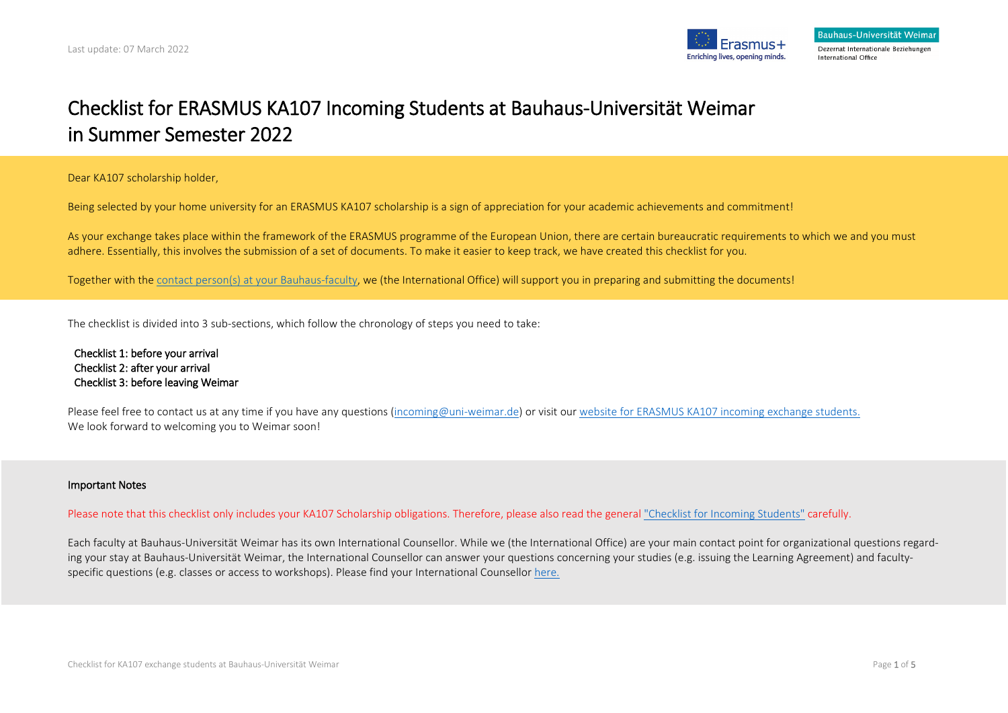

# Checklist for ERASMUS KA107 Incoming Students at Bauhaus-Universität Weimar in Summer Semester 2022

Dear KA107 scholarship holder,

Being selected by your home university for an ERASMUS KA107 scholarship is a sign of appreciation for your academic achievements and commitment!

As your exchange takes place within the framework of the ERASMUS programme of the European Union, there are certain bureaucratic requirements to which we and you must adhere. Essentially, this involves the submission of a set of documents. To make it easier to keep track, we have created this checklist for you.

Together with the [contact person\(s\) at your](https://www.uni-weimar.de/en/university/structure/departments/international-office/faculty-counselling/) Bauhaus-faculty, we (the International Office) will support you in preparing and submitting the documents!

The checklist is divided into 3 sub-sections, which follow the chronology of steps you need to take:

Checklist 1: before your arrival Checklist 2: after your arrival Checklist 3: before leaving Weimar

Please feel free to contact us at any time if you have any questions [\(incoming@uni-weimar.de\)](mailto:incoming@uni-weimar.de) or visit our [website for ERASMUS KA107 incoming exchange students.](https://www.uni-weimar.de/en/university/international/to-weimar/erasmus-ka107-scholarship-holders/) We look forward to welcoming you to Weimar soon!

#### Important Notes

Please note that this checklist only includes your KA107 Scholarship obligations. Therefore, please also read the general ["Checklist for Incoming Students"](https://www.uni-weimar.de/fileadmin/user/uni/hauptseiten/International/PDFs_nach_Weimar/Checklisten/Checkliste_Incomings.pdf) carefully.

Each faculty at Bauhaus-Universität Weimar has its own International Counsellor. While we (the International Office) are your main contact point for organizational questions regarding your stay at Bauhaus-Universität Weimar, the International Counsellor can answer your questions concerning your studies (e.g. issuing the Learning Agreement) and facultyspecific questions (e.g. classes or access to workshops). Please find your International Counsello[r here.](https://www.uni-weimar.de/en/university/structure/departments/international-office/faculty-counselling/)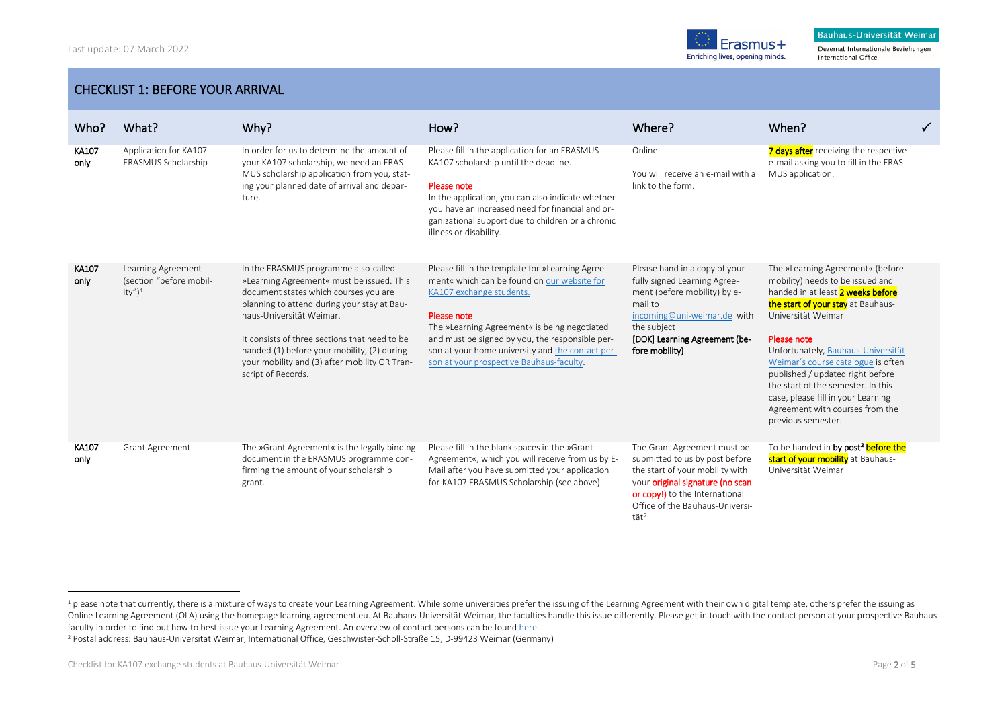<span id="page-1-1"></span><span id="page-1-0"></span>

Dezernat Internationale Beziehungen International Office

### CHECKLIST 1: BEFORE YOUR ARRIVAL

| Who?          | What?                                                       | Why?                                                                                                                                                                                                                                                                                                                                                                         | How?                                                                                                                                                                                                                                                                                                                                          | Where?                                                                                                                                                                                                                           | When?                                                                                                                                                                                                                                                                                                                                                                                                                                     | ✓ |
|---------------|-------------------------------------------------------------|------------------------------------------------------------------------------------------------------------------------------------------------------------------------------------------------------------------------------------------------------------------------------------------------------------------------------------------------------------------------------|-----------------------------------------------------------------------------------------------------------------------------------------------------------------------------------------------------------------------------------------------------------------------------------------------------------------------------------------------|----------------------------------------------------------------------------------------------------------------------------------------------------------------------------------------------------------------------------------|-------------------------------------------------------------------------------------------------------------------------------------------------------------------------------------------------------------------------------------------------------------------------------------------------------------------------------------------------------------------------------------------------------------------------------------------|---|
| KA107<br>only | Application for KA107<br>ERASMUS Scholarship                | In order for us to determine the amount of<br>your KA107 scholarship, we need an ERAS-<br>MUS scholarship application from you, stat-<br>ing your planned date of arrival and depar-<br>ture.                                                                                                                                                                                | Please fill in the application for an ERASMUS<br>KA107 scholarship until the deadline.<br>Please note<br>In the application, you can also indicate whether<br>you have an increased need for financial and or-<br>ganizational support due to children or a chronic<br>illness or disability.                                                 | Online.<br>You will receive an e-mail with a<br>link to the form.                                                                                                                                                                | 7 days after receiving the respective<br>e-mail asking you to fill in the ERAS-<br>MUS application.                                                                                                                                                                                                                                                                                                                                       |   |
| KA107<br>only | Learning Agreement<br>(section "before mobil-<br>$ity'')^1$ | In the ERASMUS programme a so-called<br>»Learning Agreement« must be issued. This<br>document states which courses you are<br>planning to attend during your stay at Bau-<br>haus-Universität Weimar.<br>It consists of three sections that need to be<br>handed (1) before your mobility, (2) during<br>your mobility and (3) after mobility OR Tran-<br>script of Records. | Please fill in the template for »Learning Agree-<br>ment« which can be found on our website for<br>KA107 exchange students.<br>Please note<br>The »Learning Agreement« is being negotiated<br>and must be signed by you, the responsible per-<br>son at your home university and the contact per-<br>son at your prospective Bauhaus-faculty. | Please hand in a copy of your<br>fully signed Learning Agree-<br>ment (before mobility) by e-<br>mail to<br>incoming@uni-weimar.de with<br>the subject<br>[DOK] Learning Agreement (be-<br>fore mobility)                        | The »Learning Agreement« (before<br>mobility) needs to be issued and<br>handed in at least 2 weeks before<br>the start of your stay at Bauhaus-<br>Universität Weimar<br>Please note<br>Unfortunately, Bauhaus-Universität<br>Weimar's course catalogue is often<br>published / updated right before<br>the start of the semester. In this<br>case, please fill in your Learning<br>Agreement with courses from the<br>previous semester. |   |
| KA107<br>only | Grant Agreement                                             | The »Grant Agreement« is the legally binding<br>document in the ERASMUS programme con-<br>firming the amount of your scholarship<br>grant.                                                                                                                                                                                                                                   | Please fill in the blank spaces in the »Grant<br>Agreement«, which you will receive from us by E-<br>Mail after you have submitted your application<br>for KA107 ERASMUS Scholarship (see above).                                                                                                                                             | The Grant Agreement must be<br>submitted to us by post before<br>the start of your mobility with<br>your original signature (no scan<br>or copy!) to the International<br>Office of the Bauhaus-Universi-<br>$t$ ät <sup>2</sup> | To be handed in by post <sup>2</sup> before the<br>start of your mobility at Bauhaus-<br>Universität Weimar                                                                                                                                                                                                                                                                                                                               |   |

 $\overline{\phantom{a}}$ 

 $1$  please note that currently, there is a mixture of ways to create your Learning Agreement. While some universities prefer the issuing of the Learning Agreement with their own digital template, others prefer the issuing Online Learning Agreement (OLA) using the homepage learning-agreement.eu. At Bauhaus-Universität Weimar, the faculties handle this issue differently. Please get in touch with the contact person at your prospective Bauhaus faculty in order to find out how to best issue your Learning Agreement. An overview of contact persons can be foun[d here.](https://www.uni-weimar.de/en/university/structure/departments/international-office/international-counsellors/)

<sup>2</sup> Postal address: Bauhaus-Universität Weimar, International Office, Geschwister-Scholl-Straße 15, D-99423 Weimar (Germany)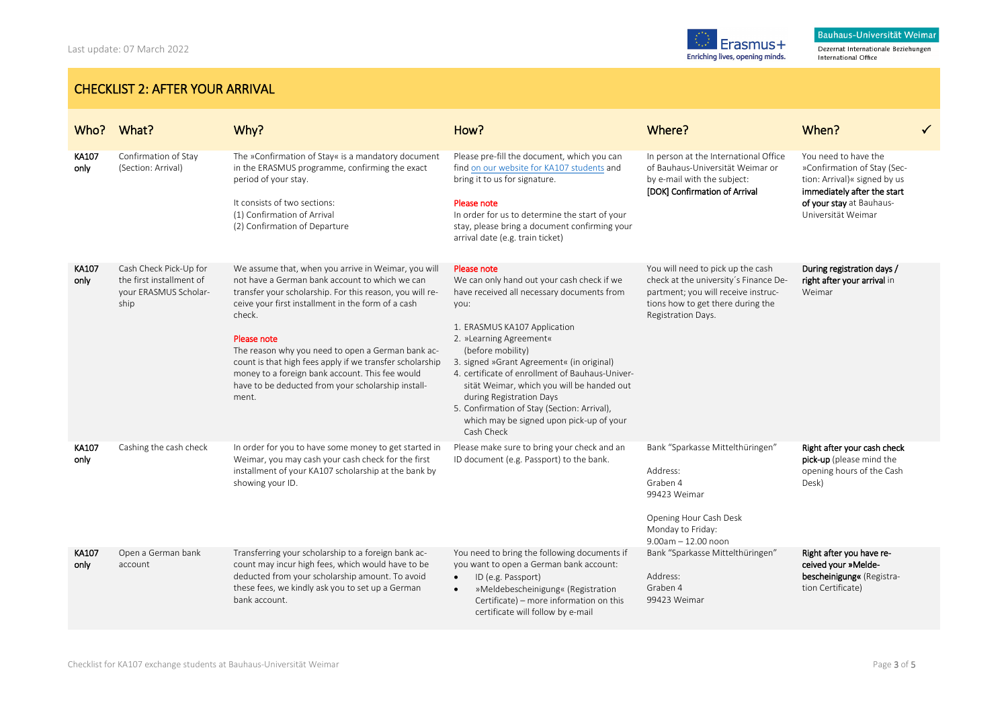Dezernat Internationale Beziehungen International Office

## CHECKLIST 2: AFTER YOUR ARRIVAL

| Who?          | What?                                                                               | Why?                                                                                                                                                                                                                                                                                                                                                                                                                                                                                | How?                                                                                                                                                                                                                                                                                                                                                                                                                                                                               | Where?                                                                                                                                                                       | When?                                                                                                                                                                |  |
|---------------|-------------------------------------------------------------------------------------|-------------------------------------------------------------------------------------------------------------------------------------------------------------------------------------------------------------------------------------------------------------------------------------------------------------------------------------------------------------------------------------------------------------------------------------------------------------------------------------|------------------------------------------------------------------------------------------------------------------------------------------------------------------------------------------------------------------------------------------------------------------------------------------------------------------------------------------------------------------------------------------------------------------------------------------------------------------------------------|------------------------------------------------------------------------------------------------------------------------------------------------------------------------------|----------------------------------------------------------------------------------------------------------------------------------------------------------------------|--|
| KA107<br>only | Confirmation of Stay<br>(Section: Arrival)                                          | The »Confirmation of Stay« is a mandatory document<br>in the ERASMUS programme, confirming the exact<br>period of your stay.<br>It consists of two sections:<br>(1) Confirmation of Arrival<br>(2) Confirmation of Departure                                                                                                                                                                                                                                                        | Please pre-fill the document, which you can<br>find on our website for KA107 students and<br>bring it to us for signature.<br>Please note<br>In order for us to determine the start of your<br>stay, please bring a document confirming your<br>arrival date (e.g. train ticket)                                                                                                                                                                                                   | In person at the International Office<br>of Bauhaus-Universität Weimar or<br>by e-mail with the subject:<br>[DOK] Confirmation of Arrival                                    | You need to have the<br>»Confirmation of Stay (Sec-<br>tion: Arrival)« signed by us<br>immediately after the start<br>of your stay at Bauhaus-<br>Universität Weimar |  |
| KA107<br>only | Cash Check Pick-Up for<br>the first installment of<br>your ERASMUS Scholar-<br>ship | We assume that, when you arrive in Weimar, you will<br>not have a German bank account to which we can<br>transfer your scholarship. For this reason, you will re-<br>ceive your first installment in the form of a cash<br>check.<br>Please note<br>The reason why you need to open a German bank ac-<br>count is that high fees apply if we transfer scholarship<br>money to a foreign bank account. This fee would<br>have to be deducted from your scholarship install-<br>ment. | Please note<br>We can only hand out your cash check if we<br>have received all necessary documents from<br>you:<br>1. ERASMUS KA107 Application<br>2. »Learning Agreement«<br>(before mobility)<br>3. signed »Grant Agreement« (in original)<br>4. certificate of enrollment of Bauhaus-Univer-<br>sität Weimar, which you will be handed out<br>during Registration Days<br>5. Confirmation of Stay (Section: Arrival),<br>which may be signed upon pick-up of your<br>Cash Check | You will need to pick up the cash<br>check at the university's Finance De-<br>partment; you will receive instruc-<br>tions how to get there during the<br>Registration Days. | During registration days /<br>right after your arrival in<br>Weimar                                                                                                  |  |
| KA107<br>only | Cashing the cash check                                                              | In order for you to have some money to get started in<br>Weimar, you may cash your cash check for the first<br>installment of your KA107 scholarship at the bank by<br>showing your ID.                                                                                                                                                                                                                                                                                             | Please make sure to bring your check and an<br>ID document (e.g. Passport) to the bank.                                                                                                                                                                                                                                                                                                                                                                                            | Bank "Sparkasse Mittelthüringen"<br>Address:<br>Graben 4<br>99423 Weimar<br>Opening Hour Cash Desk<br>Monday to Friday:<br>$9.00$ am $- 12.00$ noon                          | Right after your cash check<br>pick-up (please mind the<br>opening hours of the Cash<br>Desk)                                                                        |  |
| KA107<br>only | Open a German bank<br>account                                                       | Transferring your scholarship to a foreign bank ac-<br>count may incur high fees, which would have to be<br>deducted from your scholarship amount. To avoid<br>these fees, we kindly ask you to set up a German<br>bank account.                                                                                                                                                                                                                                                    | You need to bring the following documents if<br>you want to open a German bank account:<br>ID (e.g. Passport)<br>$\bullet$<br>»Meldebescheinigung« (Registration<br>$\bullet$<br>Certificate) - more information on this<br>certificate will follow by e-mail                                                                                                                                                                                                                      | Bank "Sparkasse Mittelthüringen"<br>Address:<br>Graben 4<br>99423 Weimar                                                                                                     | Right after you have re-<br>ceived your »Melde-<br>bescheinigung« (Registra-<br>tion Certificate)                                                                    |  |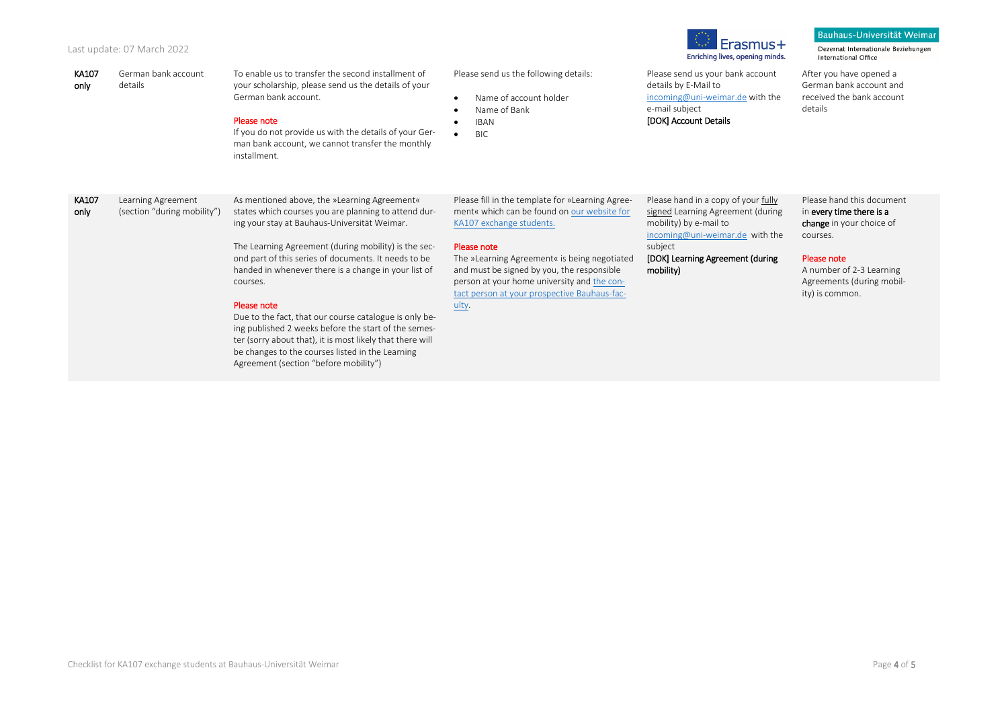#### Last update: 07 March 2022

| KA107<br>only | German bank account<br>details                    | To enable us to transfer the second installment of<br>your scholarship, please send us the details of your<br>German bank account.<br>Please note<br>If you do not provide us with the details of your Ger-<br>man bank account, we cannot transfer the monthly<br>installment.                                                                                                                                                                                                                                                                                                                                                     | Please send us the following details:<br>Name of account holder<br>Name of Bank<br><b>IBAN</b><br><b>BIC</b>                                                                                                                                                                                                                                     | Please send us your bank account<br>details by E-Mail to<br>incoming@uni-weimar.de with the<br>e-mail subject<br>[DOK] Account Details                                                            | After you have opened a<br>German bank account and<br>received the bank account<br>details                                                                                               |
|---------------|---------------------------------------------------|-------------------------------------------------------------------------------------------------------------------------------------------------------------------------------------------------------------------------------------------------------------------------------------------------------------------------------------------------------------------------------------------------------------------------------------------------------------------------------------------------------------------------------------------------------------------------------------------------------------------------------------|--------------------------------------------------------------------------------------------------------------------------------------------------------------------------------------------------------------------------------------------------------------------------------------------------------------------------------------------------|---------------------------------------------------------------------------------------------------------------------------------------------------------------------------------------------------|------------------------------------------------------------------------------------------------------------------------------------------------------------------------------------------|
| KA107<br>only | Learning Agreement<br>(section "during mobility") | As mentioned above, the »Learning Agreement«<br>states which courses you are planning to attend dur-<br>ing your stay at Bauhaus-Universität Weimar.<br>The Learning Agreement (during mobility) is the sec-<br>ond part of this series of documents. It needs to be<br>handed in whenever there is a change in your list of<br>courses.<br>Please note<br>Due to the fact, that our course catalogue is only be-<br>ing published 2 weeks before the start of the semes-<br>ter (sorry about that), it is most likely that there will<br>be changes to the courses listed in the Learning<br>Agreement (section "before mobility") | Please fill in the template for »Learning Agree-<br>ment« which can be found on our website for<br>KA107 exchange students.<br>Please note<br>The »Learning Agreement« is being negotiated<br>and must be signed by you, the responsible<br>person at your home university and the con-<br>tact person at your prospective Bauhaus-fac-<br>ulty. | Please hand in a copy of your fully<br>signed Learning Agreement (during<br>mobility) by e-mail to<br>incoming@uni-weimar.de with the<br>subject<br>[DOK] Learning Agreement (during<br>mobility) | Please hand this document<br>in every time there is a<br>change in your choice of<br>courses.<br>Please note<br>A number of 2-3 Learning<br>Agreements (during mobil-<br>ity) is common. |

 $I$  Erasmus +

Enriching lives, opening minds.

Dezernat Internationale Beziehungen<br>International Office